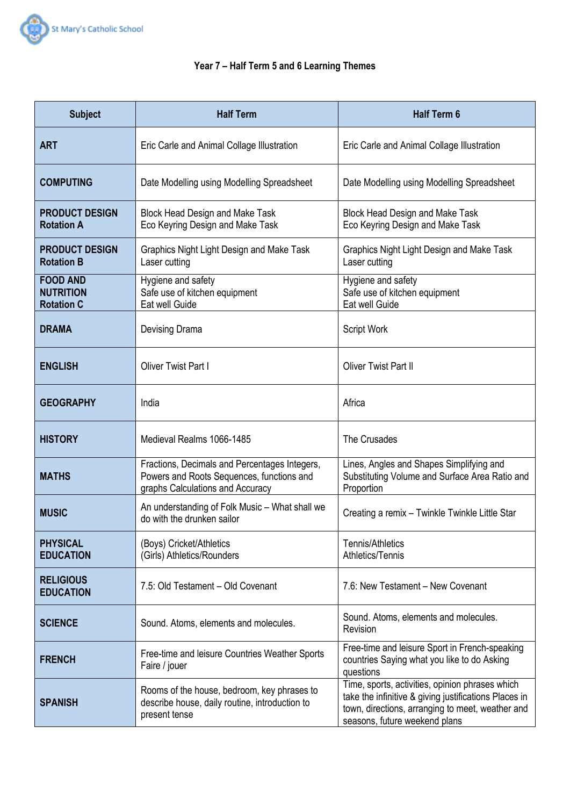

# **Year 7 – Half Term 5 and 6 Learning Themes**

| <b>Subject</b>                                           | <b>Half Term</b>                                                                                                               | <b>Half Term 6</b>                                                                                                                                                                            |
|----------------------------------------------------------|--------------------------------------------------------------------------------------------------------------------------------|-----------------------------------------------------------------------------------------------------------------------------------------------------------------------------------------------|
| <b>ART</b>                                               | Eric Carle and Animal Collage Illustration                                                                                     | Eric Carle and Animal Collage Illustration                                                                                                                                                    |
| <b>COMPUTING</b>                                         | Date Modelling using Modelling Spreadsheet                                                                                     | Date Modelling using Modelling Spreadsheet                                                                                                                                                    |
| <b>PRODUCT DESIGN</b><br><b>Rotation A</b>               | <b>Block Head Design and Make Task</b><br>Eco Keyring Design and Make Task                                                     | <b>Block Head Design and Make Task</b><br>Eco Keyring Design and Make Task                                                                                                                    |
| <b>PRODUCT DESIGN</b><br><b>Rotation B</b>               | <b>Graphics Night Light Design and Make Task</b><br>Laser cutting                                                              | Graphics Night Light Design and Make Task<br>Laser cutting                                                                                                                                    |
| <b>FOOD AND</b><br><b>NUTRITION</b><br><b>Rotation C</b> | Hygiene and safety<br>Safe use of kitchen equipment<br>Eat well Guide                                                          | Hygiene and safety<br>Safe use of kitchen equipment<br>Eat well Guide                                                                                                                         |
| <b>DRAMA</b>                                             | Devising Drama                                                                                                                 | <b>Script Work</b>                                                                                                                                                                            |
| <b>ENGLISH</b>                                           | Oliver Twist Part I                                                                                                            | <b>Oliver Twist Part II</b>                                                                                                                                                                   |
| <b>GEOGRAPHY</b>                                         | India                                                                                                                          | Africa                                                                                                                                                                                        |
| <b>HISTORY</b>                                           | Medieval Realms 1066-1485                                                                                                      | The Crusades                                                                                                                                                                                  |
| <b>MATHS</b>                                             | Fractions, Decimals and Percentages Integers,<br>Powers and Roots Sequences, functions and<br>graphs Calculations and Accuracy | Lines, Angles and Shapes Simplifying and<br>Substituting Volume and Surface Area Ratio and<br>Proportion                                                                                      |
| <b>MUSIC</b>                                             | An understanding of Folk Music - What shall we<br>do with the drunken sailor                                                   | Creating a remix - Twinkle Twinkle Little Star                                                                                                                                                |
| <b>PHYSICAL</b><br><b>EDUCATION</b>                      | (Boys) Cricket/Athletics<br>(Girls) Athletics/Rounders                                                                         | Tennis/Athletics<br>Athletics/Tennis                                                                                                                                                          |
| <b>RELIGIOUS</b><br><b>EDUCATION</b>                     | 7.5: Old Testament - Old Covenant                                                                                              | 7.6: New Testament - New Covenant                                                                                                                                                             |
| <b>SCIENCE</b>                                           | Sound. Atoms, elements and molecules.                                                                                          | Sound. Atoms, elements and molecules.<br>Revision                                                                                                                                             |
| <b>FRENCH</b>                                            | Free-time and leisure Countries Weather Sports<br>Faire / jouer                                                                | Free-time and leisure Sport in French-speaking<br>countries Saying what you like to do Asking<br>questions                                                                                    |
| <b>SPANISH</b>                                           | Rooms of the house, bedroom, key phrases to<br>describe house, daily routine, introduction to<br>present tense                 | Time, sports, activities, opinion phrases which<br>take the infinitive & giving justifications Places in<br>town, directions, arranging to meet, weather and<br>seasons, future weekend plans |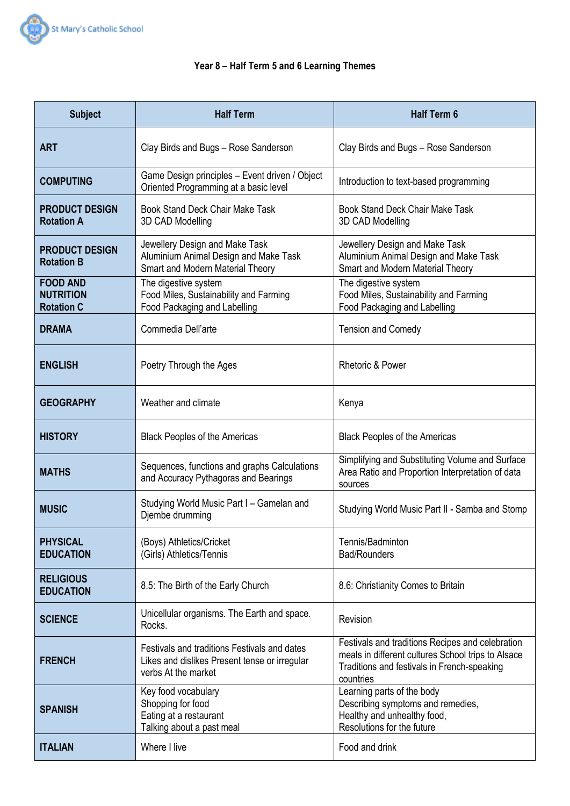

# **Year 8 – Half Term 5 and 6 Learning Themes**

| <b>Subject</b>                                           | <b>Half Term</b>                                                                                                     | <b>Half Term 6</b>                                                                                                                                                 |
|----------------------------------------------------------|----------------------------------------------------------------------------------------------------------------------|--------------------------------------------------------------------------------------------------------------------------------------------------------------------|
| <b>ART</b>                                               | Clay Birds and Bugs - Rose Sanderson                                                                                 | Clay Birds and Bugs - Rose Sanderson                                                                                                                               |
| <b>COMPUTING</b>                                         | Game Design principles - Event driven / Object<br>Oriented Programming at a basic level                              | Introduction to text-based programming                                                                                                                             |
| <b>PRODUCT DESIGN</b><br><b>Rotation A</b>               | <b>Book Stand Deck Chair Make Task</b><br>3D CAD Modelling                                                           | <b>Book Stand Deck Chair Make Task</b><br>3D CAD Modelling                                                                                                         |
| <b>PRODUCT DESIGN</b><br><b>Rotation B</b>               | Jewellery Design and Make Task<br>Aluminium Animal Design and Make Task<br>Smart and Modern Material Theory          | Jewellery Design and Make Task<br>Aluminium Animal Design and Make Task<br>Smart and Modern Material Theory                                                        |
| <b>FOOD AND</b><br><b>NUTRITION</b><br><b>Rotation C</b> | The digestive system<br>Food Miles, Sustainability and Farming<br>Food Packaging and Labelling                       | The digestive system<br>Food Miles, Sustainability and Farming<br>Food Packaging and Labelling                                                                     |
| <b>DRAMA</b>                                             | Commedia Dell'arte                                                                                                   | <b>Tension and Comedy</b>                                                                                                                                          |
| <b>ENGLISH</b>                                           | Poetry Through the Ages                                                                                              | <b>Rhetoric &amp; Power</b>                                                                                                                                        |
| <b>GEOGRAPHY</b>                                         | Weather and climate                                                                                                  | Kenya                                                                                                                                                              |
| <b>HISTORY</b>                                           | <b>Black Peoples of the Americas</b>                                                                                 | <b>Black Peoples of the Americas</b>                                                                                                                               |
| <b>MATHS</b>                                             | Sequences, functions and graphs Calculations<br>and Accuracy Pythagoras and Bearings                                 | Simplifying and Substituting Volume and Surface<br>Area Ratio and Proportion Interpretation of data<br>sources                                                     |
| <b>MUSIC</b>                                             | Studying World Music Part I - Gamelan and<br>Djembe drumming                                                         | Studying World Music Part II - Samba and Stomp                                                                                                                     |
| <b>PHYSICAL</b><br><b>EDUCATION</b>                      | (Boys) Athletics/Cricket<br>(Girls) Athletics/Tennis                                                                 | Tennis/Badminton<br><b>Bad/Rounders</b>                                                                                                                            |
| <b>RELIGIOUS</b><br><b>EDUCATION</b>                     | 8.5: The Birth of the Early Church                                                                                   | 8.6: Christianity Comes to Britain                                                                                                                                 |
| <b>SCIENCE</b>                                           | Unicellular organisms. The Earth and space.<br>Rocks.                                                                | Revision                                                                                                                                                           |
| <b>FRENCH</b>                                            | Festivals and traditions Festivals and dates<br>Likes and dislikes Present tense or irregular<br>verbs At the market | Festivals and traditions Recipes and celebration<br>meals in different cultures School trips to Alsace<br>Traditions and festivals in French-speaking<br>countries |
| <b>SPANISH</b>                                           | Key food vocabulary<br>Shopping for food<br>Eating at a restaurant<br>Talking about a past meal                      | Learning parts of the body<br>Describing symptoms and remedies,<br>Healthy and unhealthy food,<br>Resolutions for the future                                       |
| <b>ITALIAN</b>                                           | Where I live                                                                                                         | Food and drink                                                                                                                                                     |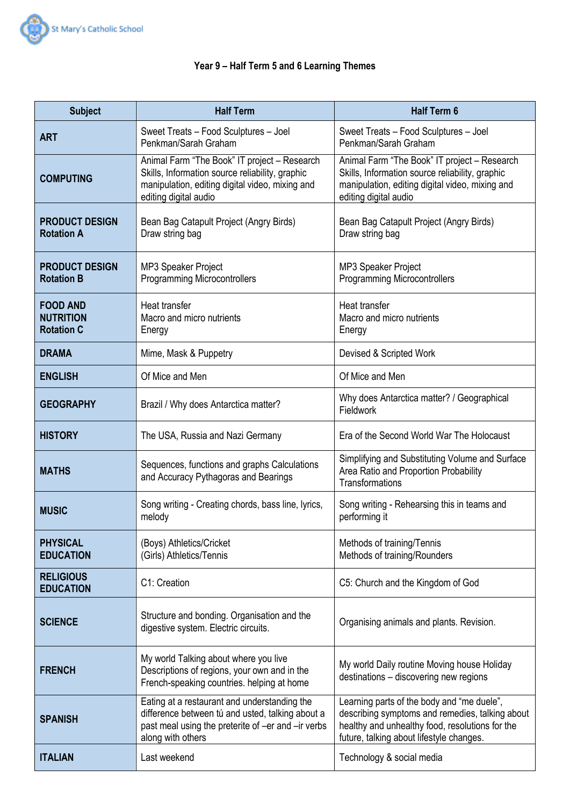

# **Year 9 – Half Term 5 and 6 Learning Themes**

| <b>Subject</b>                                           | <b>Half Term</b>                                                                                                                                                            | <b>Half Term 6</b>                                                                                                                                                                           |
|----------------------------------------------------------|-----------------------------------------------------------------------------------------------------------------------------------------------------------------------------|----------------------------------------------------------------------------------------------------------------------------------------------------------------------------------------------|
| <b>ART</b>                                               | Sweet Treats - Food Sculptures - Joel<br>Penkman/Sarah Graham                                                                                                               | Sweet Treats - Food Sculptures - Joel<br>Penkman/Sarah Graham                                                                                                                                |
| <b>COMPUTING</b>                                         | Animal Farm "The Book" IT project - Research<br>Skills, Information source reliability, graphic<br>manipulation, editing digital video, mixing and<br>editing digital audio | Animal Farm "The Book" IT project - Research<br>Skills, Information source reliability, graphic<br>manipulation, editing digital video, mixing and<br>editing digital audio                  |
| <b>PRODUCT DESIGN</b><br><b>Rotation A</b>               | Bean Bag Catapult Project (Angry Birds)<br>Draw string bag                                                                                                                  | Bean Bag Catapult Project (Angry Birds)<br>Draw string bag                                                                                                                                   |
| <b>PRODUCT DESIGN</b><br><b>Rotation B</b>               | MP3 Speaker Project<br><b>Programming Microcontrollers</b>                                                                                                                  | MP3 Speaker Project<br><b>Programming Microcontrollers</b>                                                                                                                                   |
| <b>FOOD AND</b><br><b>NUTRITION</b><br><b>Rotation C</b> | Heat transfer<br>Macro and micro nutrients<br>Energy                                                                                                                        | Heat transfer<br>Macro and micro nutrients<br>Energy                                                                                                                                         |
| <b>DRAMA</b>                                             | Mime, Mask & Puppetry                                                                                                                                                       | Devised & Scripted Work                                                                                                                                                                      |
| <b>ENGLISH</b>                                           | Of Mice and Men                                                                                                                                                             | Of Mice and Men                                                                                                                                                                              |
| <b>GEOGRAPHY</b>                                         | Brazil / Why does Antarctica matter?                                                                                                                                        | Why does Antarctica matter? / Geographical<br>Fieldwork                                                                                                                                      |
| <b>HISTORY</b>                                           | The USA, Russia and Nazi Germany                                                                                                                                            | Era of the Second World War The Holocaust                                                                                                                                                    |
| <b>MATHS</b>                                             | Sequences, functions and graphs Calculations<br>and Accuracy Pythagoras and Bearings                                                                                        | Simplifying and Substituting Volume and Surface<br>Area Ratio and Proportion Probability<br><b>Transformations</b>                                                                           |
| <b>MUSIC</b>                                             | Song writing - Creating chords, bass line, lyrics,<br>melody                                                                                                                | Song writing - Rehearsing this in teams and<br>performing it                                                                                                                                 |
| <b>PHYSICAL</b><br><b>EDUCATION</b>                      | (Boys) Athletics/Cricket<br>(Girls) Athletics/Tennis                                                                                                                        | Methods of training/Tennis<br>Methods of training/Rounders                                                                                                                                   |
| <b>RELIGIOUS</b><br><b>EDUCATION</b>                     | C1: Creation                                                                                                                                                                | C5: Church and the Kingdom of God                                                                                                                                                            |
| <b>SCIENCE</b>                                           | Structure and bonding. Organisation and the<br>digestive system. Electric circuits.                                                                                         | Organising animals and plants. Revision.                                                                                                                                                     |
| <b>FRENCH</b>                                            | My world Talking about where you live<br>Descriptions of regions, your own and in the<br>French-speaking countries. helping at home                                         | My world Daily routine Moving house Holiday<br>destinations - discovering new regions                                                                                                        |
| <b>SPANISH</b>                                           | Eating at a restaurant and understanding the<br>difference between tú and usted, talking about a<br>past meal using the preterite of -er and -ir verbs<br>along with others | Learning parts of the body and "me duele",<br>describing symptoms and remedies, talking about<br>healthy and unhealthy food, resolutions for the<br>future, talking about lifestyle changes. |
| <b>ITALIAN</b>                                           | Last weekend                                                                                                                                                                | Technology & social media                                                                                                                                                                    |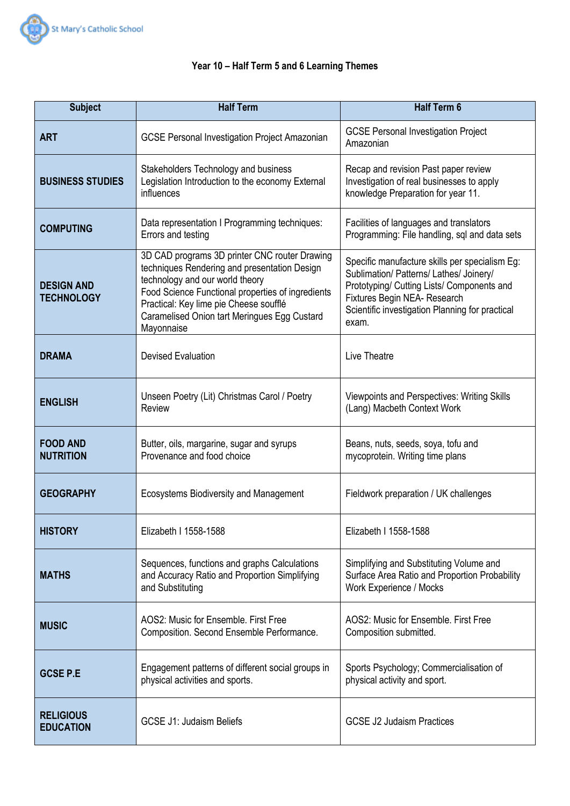

# **Year 10 – Half Term 5 and 6 Learning Themes**

| <b>Subject</b>                         | <b>Half Term</b>                                                                                                                                                                                                                                                                              | <b>Half Term 6</b>                                                                                                                                                                                                                  |
|----------------------------------------|-----------------------------------------------------------------------------------------------------------------------------------------------------------------------------------------------------------------------------------------------------------------------------------------------|-------------------------------------------------------------------------------------------------------------------------------------------------------------------------------------------------------------------------------------|
| <b>ART</b>                             | <b>GCSE Personal Investigation Project Amazonian</b>                                                                                                                                                                                                                                          | <b>GCSE Personal Investigation Project</b><br>Amazonian                                                                                                                                                                             |
| <b>BUSINESS STUDIES</b>                | Stakeholders Technology and business<br>Legislation Introduction to the economy External<br>influences                                                                                                                                                                                        | Recap and revision Past paper review<br>Investigation of real businesses to apply<br>knowledge Preparation for year 11.                                                                                                             |
| <b>COMPUTING</b>                       | Data representation I Programming techniques:<br>Errors and testing                                                                                                                                                                                                                           | Facilities of languages and translators<br>Programming: File handling, sql and data sets                                                                                                                                            |
| <b>DESIGN AND</b><br><b>TECHNOLOGY</b> | 3D CAD programs 3D printer CNC router Drawing<br>techniques Rendering and presentation Design<br>technology and our world theory<br>Food Science Functional properties of ingredients<br>Practical: Key lime pie Cheese soufflé<br>Caramelised Onion tart Meringues Egg Custard<br>Mayonnaise | Specific manufacture skills per specialism Eg:<br>Sublimation/ Patterns/ Lathes/ Joinery/<br>Prototyping/ Cutting Lists/ Components and<br>Fixtures Begin NEA- Research<br>Scientific investigation Planning for practical<br>exam. |
| <b>DRAMA</b>                           | <b>Devised Evaluation</b>                                                                                                                                                                                                                                                                     | Live Theatre                                                                                                                                                                                                                        |
| <b>ENGLISH</b>                         | Unseen Poetry (Lit) Christmas Carol / Poetry<br>Review                                                                                                                                                                                                                                        | <b>Viewpoints and Perspectives: Writing Skills</b><br>(Lang) Macbeth Context Work                                                                                                                                                   |
| <b>FOOD AND</b><br><b>NUTRITION</b>    | Butter, oils, margarine, sugar and syrups<br>Provenance and food choice                                                                                                                                                                                                                       | Beans, nuts, seeds, soya, tofu and<br>mycoprotein. Writing time plans                                                                                                                                                               |
| <b>GEOGRAPHY</b>                       | Ecosystems Biodiversity and Management                                                                                                                                                                                                                                                        | Fieldwork preparation / UK challenges                                                                                                                                                                                               |
| <b>HISTORY</b>                         | Elizabeth I 1558-1588                                                                                                                                                                                                                                                                         | Elizabeth I 1558-1588                                                                                                                                                                                                               |
| <b>MATHS</b>                           | Sequences, functions and graphs Calculations<br>and Accuracy Ratio and Proportion Simplifying<br>and Substituting                                                                                                                                                                             | Simplifying and Substituting Volume and<br>Surface Area Ratio and Proportion Probability<br>Work Experience / Mocks                                                                                                                 |
| <b>MUSIC</b>                           | AOS2: Music for Ensemble. First Free<br>Composition. Second Ensemble Performance.                                                                                                                                                                                                             | AOS2: Music for Ensemble. First Free<br>Composition submitted.                                                                                                                                                                      |
| <b>GCSE P.E</b>                        | Engagement patterns of different social groups in<br>physical activities and sports.                                                                                                                                                                                                          | Sports Psychology; Commercialisation of<br>physical activity and sport.                                                                                                                                                             |
| <b>RELIGIOUS</b><br><b>EDUCATION</b>   | <b>GCSE J1: Judaism Beliefs</b>                                                                                                                                                                                                                                                               | <b>GCSE J2 Judaism Practices</b>                                                                                                                                                                                                    |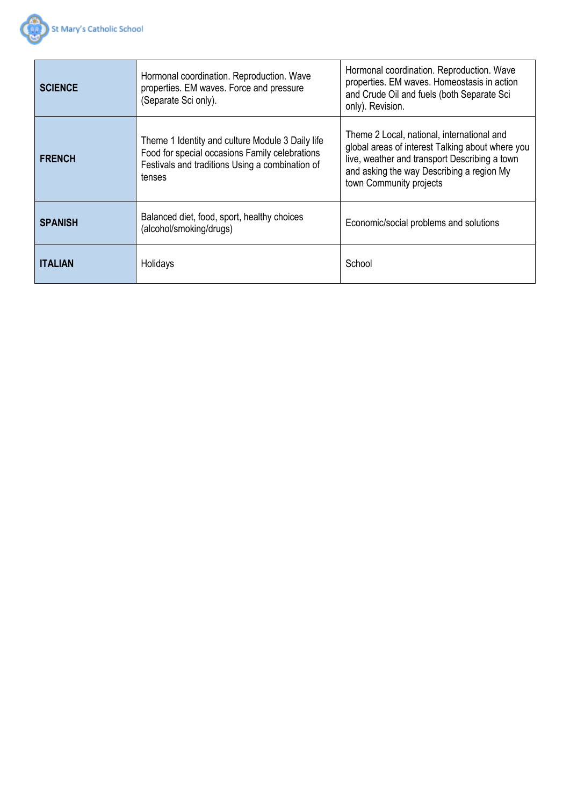

| <b>SCIENCE</b> | Hormonal coordination. Reproduction. Wave<br>properties. EM waves. Force and pressure<br>(Separate Sci only).                                                   | Hormonal coordination. Reproduction. Wave<br>properties. EM waves. Homeostasis in action<br>and Crude Oil and fuels (both Separate Sci<br>only). Revision.                                                              |
|----------------|-----------------------------------------------------------------------------------------------------------------------------------------------------------------|-------------------------------------------------------------------------------------------------------------------------------------------------------------------------------------------------------------------------|
| <b>FRENCH</b>  | Theme 1 Identity and culture Module 3 Daily life<br>Food for special occasions Family celebrations<br>Festivals and traditions Using a combination of<br>tenses | Theme 2 Local, national, international and<br>global areas of interest Talking about where you<br>live, weather and transport Describing a town<br>and asking the way Describing a region My<br>town Community projects |
| <b>SPANISH</b> | Balanced diet, food, sport, healthy choices<br>(alcohol/smoking/drugs)                                                                                          | Economic/social problems and solutions                                                                                                                                                                                  |
| <b>ITALIAN</b> | Holidays                                                                                                                                                        | School                                                                                                                                                                                                                  |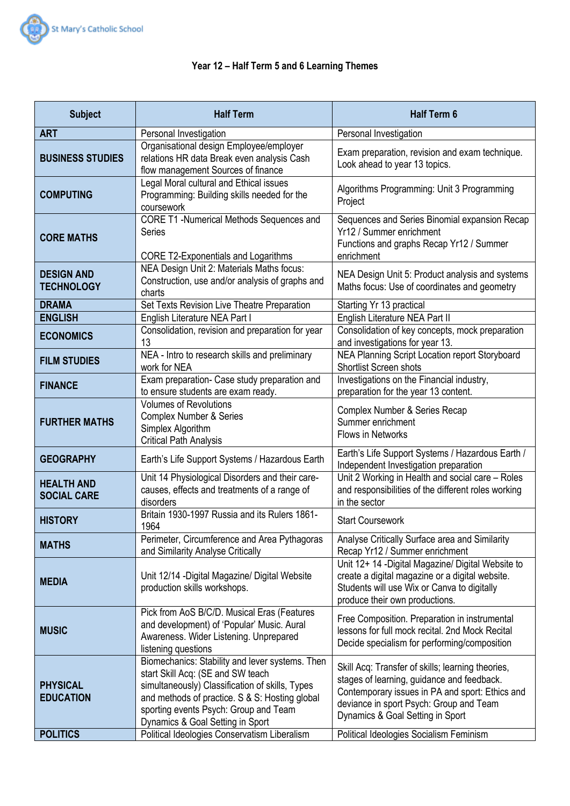

# **Year 12 – Half Term 5 and 6 Learning Themes**

| <b>Subject</b>                          | <b>Half Term</b>                                                                                                                                                                                                                                                       | <b>Half Term 6</b>                                                                                                                                                                                                                |
|-----------------------------------------|------------------------------------------------------------------------------------------------------------------------------------------------------------------------------------------------------------------------------------------------------------------------|-----------------------------------------------------------------------------------------------------------------------------------------------------------------------------------------------------------------------------------|
| <b>ART</b>                              | Personal Investigation                                                                                                                                                                                                                                                 | Personal Investigation                                                                                                                                                                                                            |
| <b>BUSINESS STUDIES</b>                 | Organisational design Employee/employer<br>relations HR data Break even analysis Cash<br>flow management Sources of finance                                                                                                                                            | Exam preparation, revision and exam technique.<br>Look ahead to year 13 topics.                                                                                                                                                   |
| <b>COMPUTING</b>                        | Legal Moral cultural and Ethical issues<br>Programming: Building skills needed for the<br>coursework                                                                                                                                                                   | Algorithms Programming: Unit 3 Programming<br>Project                                                                                                                                                                             |
| <b>CORE MATHS</b>                       | CORE T1 -Numerical Methods Sequences and<br><b>Series</b><br><b>CORE T2-Exponentials and Logarithms</b>                                                                                                                                                                | Sequences and Series Binomial expansion Recap<br>Yr12 / Summer enrichment<br>Functions and graphs Recap Yr12 / Summer<br>enrichment                                                                                               |
| <b>DESIGN AND</b><br><b>TECHNOLOGY</b>  | NEA Design Unit 2: Materials Maths focus:<br>Construction, use and/or analysis of graphs and<br>charts                                                                                                                                                                 | NEA Design Unit 5: Product analysis and systems<br>Maths focus: Use of coordinates and geometry                                                                                                                                   |
| <b>DRAMA</b>                            | Set Texts Revision Live Theatre Preparation                                                                                                                                                                                                                            | Starting Yr 13 practical                                                                                                                                                                                                          |
| <b>ENGLISH</b>                          | English Literature NEA Part I                                                                                                                                                                                                                                          | English Literature NEA Part II                                                                                                                                                                                                    |
| <b>ECONOMICS</b>                        | Consolidation, revision and preparation for year<br>13                                                                                                                                                                                                                 | Consolidation of key concepts, mock preparation<br>and investigations for year 13.                                                                                                                                                |
| <b>FILM STUDIES</b>                     | NEA - Intro to research skills and preliminary<br>work for NEA                                                                                                                                                                                                         | NEA Planning Script Location report Storyboard<br>Shortlist Screen shots                                                                                                                                                          |
| <b>FINANCE</b>                          | Exam preparation- Case study preparation and<br>to ensure students are exam ready.                                                                                                                                                                                     | Investigations on the Financial industry,<br>preparation for the year 13 content.                                                                                                                                                 |
| <b>FURTHER MATHS</b>                    | <b>Volumes of Revolutions</b><br><b>Complex Number &amp; Series</b><br>Simplex Algorithm<br><b>Critical Path Analysis</b>                                                                                                                                              | Complex Number & Series Recap<br>Summer enrichment<br><b>Flows in Networks</b>                                                                                                                                                    |
| <b>GEOGRAPHY</b>                        | Earth's Life Support Systems / Hazardous Earth                                                                                                                                                                                                                         | Earth's Life Support Systems / Hazardous Earth /<br>Independent Investigation preparation                                                                                                                                         |
| <b>HEALTH AND</b><br><b>SOCIAL CARE</b> | Unit 14 Physiological Disorders and their care-<br>causes, effects and treatments of a range of<br>disorders                                                                                                                                                           | Unit 2 Working in Health and social care - Roles<br>and responsibilities of the different roles working<br>in the sector                                                                                                          |
| <b>HISTORY</b>                          | Britain 1930-1997 Russia and its Rulers 1861-<br>1964                                                                                                                                                                                                                  | <b>Start Coursework</b>                                                                                                                                                                                                           |
| <b>MATHS</b>                            | Perimeter, Circumference and Area Pythagoras<br>and Similarity Analyse Critically                                                                                                                                                                                      | Analyse Critically Surface area and Similarity<br>Recap Yr12 / Summer enrichment                                                                                                                                                  |
| <b>MEDIA</b>                            | Unit 12/14 - Digital Magazine/ Digital Website<br>production skills workshops.                                                                                                                                                                                         | Unit 12+ 14 - Digital Magazine/ Digital Website to<br>create a digital magazine or a digital website.<br>Students will use Wix or Canva to digitally<br>produce their own productions.                                            |
| <b>MUSIC</b>                            | Pick from AoS B/C/D. Musical Eras (Features<br>and development) of 'Popular' Music. Aural<br>Awareness. Wider Listening. Unprepared<br>listening questions                                                                                                             | Free Composition. Preparation in instrumental<br>lessons for full mock recital. 2nd Mock Recital<br>Decide specialism for performing/composition                                                                                  |
| <b>PHYSICAL</b><br><b>EDUCATION</b>     | Biomechanics: Stability and lever systems. Then<br>start Skill Acq: (SE and SW teach<br>simultaneously) Classification of skills, Types<br>and methods of practice. S & S: Hosting global<br>sporting events Psych: Group and Team<br>Dynamics & Goal Setting in Sport | Skill Acq: Transfer of skills; learning theories,<br>stages of learning, guidance and feedback.<br>Contemporary issues in PA and sport: Ethics and<br>deviance in sport Psych: Group and Team<br>Dynamics & Goal Setting in Sport |
| <b>POLITICS</b>                         | Political Ideologies Conservatism Liberalism                                                                                                                                                                                                                           | Political Ideologies Socialism Feminism                                                                                                                                                                                           |